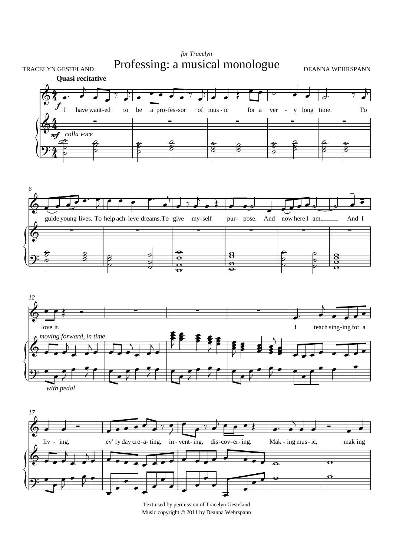

Text used by permission of Tracelyn Gesteland Music copyright © 2011 by Deanna Wehrspann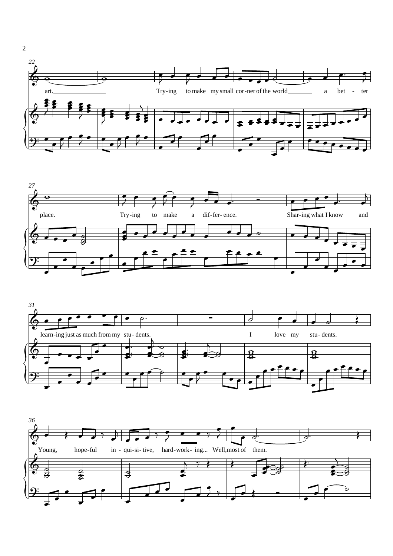